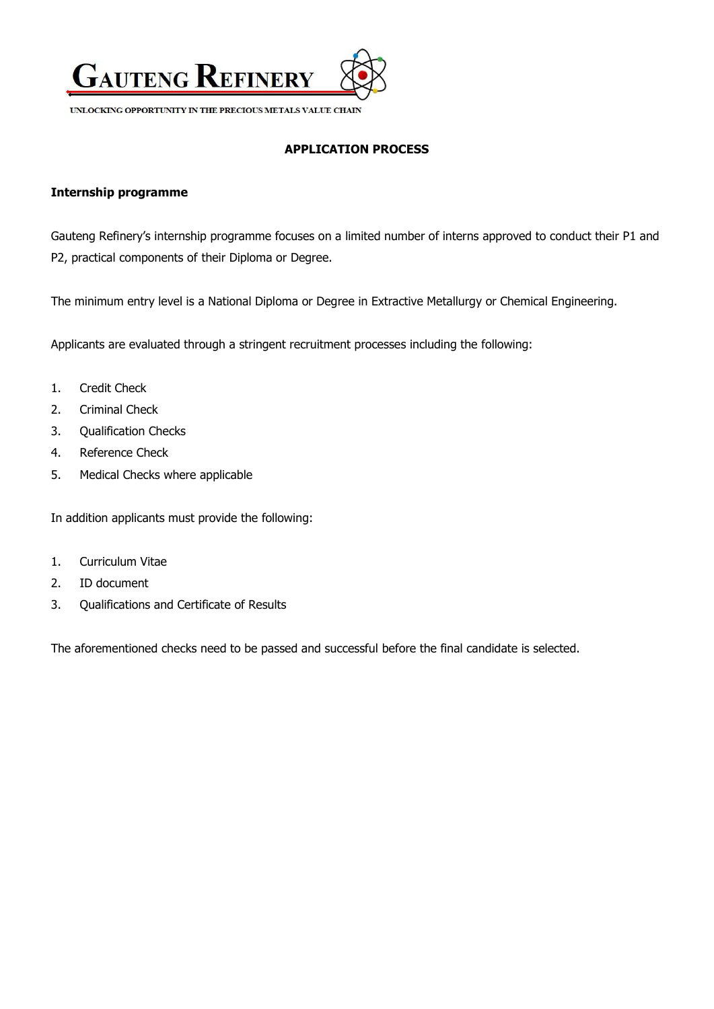

UNLOCKING OPPORTUNITY IN THE PRECIOUS METALS VALUE CHAIN

## **APPLICATION PROCESS**

## **Internship programme**

Gauteng Refinery's internship programme focuses on a limited number of interns approved to conduct their P1 and P2, practical components of their Diploma or Degree.

The minimum entry level is a National Diploma or Degree in Extractive Metallurgy or Chemical Engineering.

Applicants are evaluated through a stringent recruitment processes including the following:

- 1. Credit Check
- 2. Criminal Check
- 3. Qualification Checks
- 4. Reference Check
- 5. Medical Checks where applicable

In addition applicants must provide the following:

- 1. Curriculum Vitae
- 2. ID document
- 3. Qualifications and Certificate of Results

The aforementioned checks need to be passed and successful before the final candidate is selected.